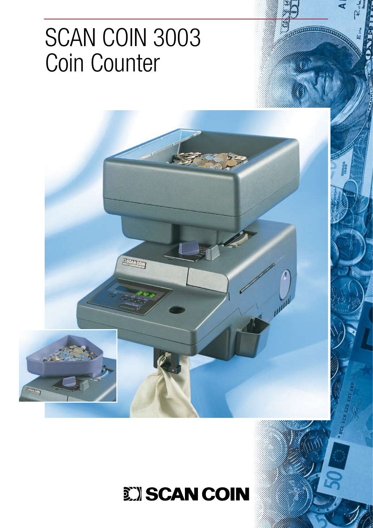# SCAN COIN 3003 Coin Counter

**TSCANCOM** 

 $\overline{...}$